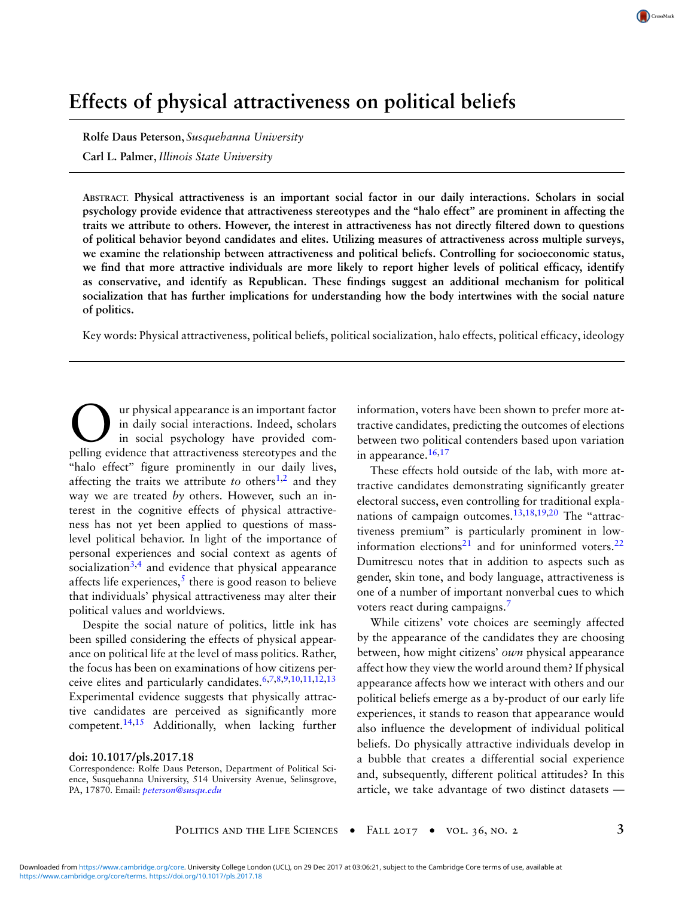# **Effects of physical attractiveness on political beliefs**

**Rolfe Daus Peterson**, *Susquehanna University*

**Carl L. Palmer**,*Illinois State University*

**ABSTRACT. Physical attractiveness is an important social factor in our daily interactions. Scholars in social psychology provide evidence that attractiveness stereotypes and the ''halo effect'' are prominent in affecting the traits we attribute to others. However, the interest in attractiveness has not directly filtered down to questions of political behavior beyond candidates and elites. Utilizing measures of attractiveness across multiple surveys, we examine the relationship between attractiveness and political beliefs. Controlling for socioeconomic status, we find that more attractive individuals are more likely to report higher levels of political efficacy, identify as conservative, and identify as Republican. These findings suggest an additional mechanism for political socialization that has further implications for understanding how the body intertwines with the social nature of politics.**

Key words: Physical attractiveness, political beliefs, political socialization, halo effects, political efficacy, ideology

Our physical appearance is an important factor<br>in daily social interactions. Indeed, scholars<br>pelling evidence that attractiveness stereotypes and the ur physical appearance is an important factor in daily social interactions. Indeed, scholars in social psychology have provided com-"halo effect" figure prominently in our daily lives, affecting the traits we attribute *to* others<sup>1,2</sup> and they way we are treated *by* others. However, such an interest in the cognitive effects of physical attractiveness has not yet been applied to questions of masslevel political behavior. In light of the importance of personal experiences and social context as agents of socialization<sup>3,4</sup> and evidence that physical appearance affects life experiences,<sup>5</sup> there is good reason to believe that individuals' physical attractiveness may alter their political values and worldviews.

Despite the social nature of politics, little ink has been spilled considering the effects of physical appearance on political life at the level of mass politics. Rather, the focus has been on examinations of how citizens perceive elites and particularly candidates.6,7,8,9,10,11,12,13 Experimental evidence suggests that physically attractive candidates are perceived as significantly more competent.<sup>14,15</sup> Additionally, when lacking further

#### **doi: 10.1017/pls.2017.18**

Correspondence: Rolfe Daus Peterson, Department of Political Science, Susquehanna University, 514 University Avenue, Selinsgrove, PA, 17870. Email: *peterson@susqu.edu*

information, voters have been shown to prefer more attractive candidates, predicting the outcomes of elections between two political contenders based upon variation in appearance.<sup>16,17</sup>

These effects hold outside of the lab, with more attractive candidates demonstrating significantly greater electoral success, even controlling for traditional explanations of campaign outcomes.<sup>13,18,19,20</sup> The "attractiveness premium'' is particularly prominent in lowinformation elections<sup>21</sup> and for uninformed voters.<sup>22</sup> Dumitrescu notes that in addition to aspects such as gender, skin tone, and body language, attractiveness is one of a number of important nonverbal cues to which voters react during campaigns.<sup>7</sup>

While citizens' vote choices are seemingly affected by the appearance of the candidates they are choosing between, how might citizens' *own* physical appearance affect how they view the world around them? If physical appearance affects how we interact with others and our political beliefs emerge as a by-product of our early life experiences, it stands to reason that appearance would also influence the development of individual political beliefs. Do physically attractive individuals develop in a bubble that creates a differential social experience and, subsequently, different political attitudes? In this article, we take advantage of two distinct datasets —

CrossMarl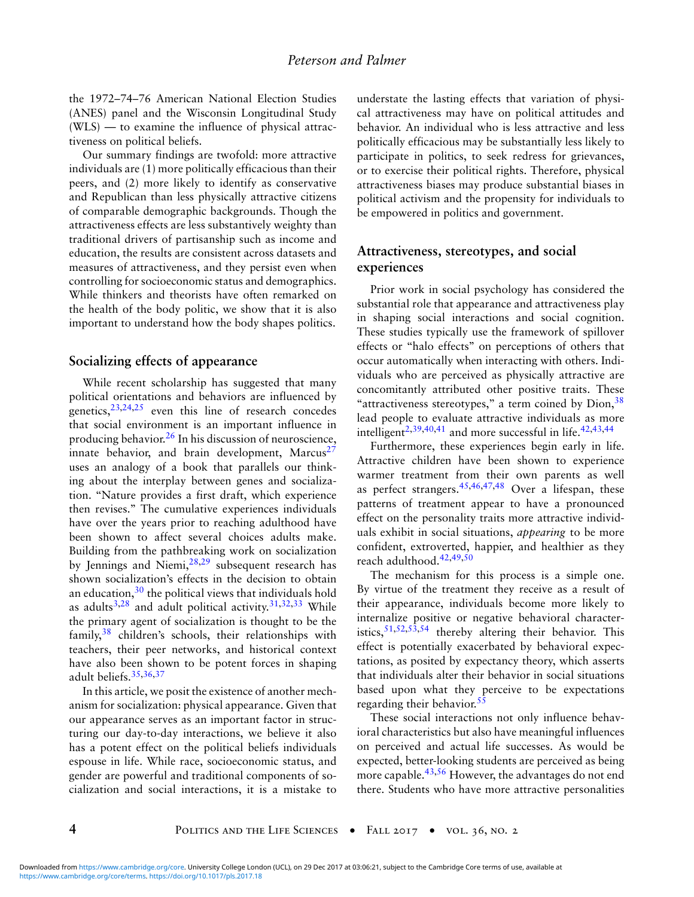the 1972–74–76 American National Election Studies (ANES) panel and the Wisconsin Longitudinal Study (WLS) — to examine the influence of physical attractiveness on political beliefs.

Our summary findings are twofold: more attractive individuals are (1) more politically efficacious than their peers, and (2) more likely to identify as conservative and Republican than less physically attractive citizens of comparable demographic backgrounds. Though the attractiveness effects are less substantively weighty than traditional drivers of partisanship such as income and education, the results are consistent across datasets and measures of attractiveness, and they persist even when controlling for socioeconomic status and demographics. While thinkers and theorists have often remarked on the health of the body politic, we show that it is also important to understand how the body shapes politics.

# **Socializing effects of appearance**

While recent scholarship has suggested that many political orientations and behaviors are influenced by genetics,  $23,24,25$  even this line of research concedes that social environment is an important influence in producing behavior.<sup>26</sup> In his discussion of neuroscience, innate behavior, and brain development, Marcus $27$ uses an analogy of a book that parallels our thinking about the interplay between genes and socialization. ''Nature provides a first draft, which experience then revises.'' The cumulative experiences individuals have over the years prior to reaching adulthood have been shown to affect several choices adults make. Building from the pathbreaking work on socialization by Jennings and Niemi,<sup>28,29</sup> subsequent research has shown socialization's effects in the decision to obtain an education, $30$  the political views that individuals hold as adults<sup>3,28</sup> and adult political activity.<sup>31,32,33</sup> While the primary agent of socialization is thought to be the family, $38$  children's schools, their relationships with teachers, their peer networks, and historical context have also been shown to be potent forces in shaping adult beliefs.<sup>35,36,37</sup>

In this article, we posit the existence of another mechanism for socialization: physical appearance. Given that our appearance serves as an important factor in structuring our day-to-day interactions, we believe it also has a potent effect on the political beliefs individuals espouse in life. While race, socioeconomic status, and gender are powerful and traditional components of socialization and social interactions, it is a mistake to understate the lasting effects that variation of physical attractiveness may have on political attitudes and behavior. An individual who is less attractive and less politically efficacious may be substantially less likely to participate in politics, to seek redress for grievances, or to exercise their political rights. Therefore, physical attractiveness biases may produce substantial biases in political activism and the propensity for individuals to be empowered in politics and government.

## **Attractiveness, stereotypes, and social experiences**

Prior work in social psychology has considered the substantial role that appearance and attractiveness play in shaping social interactions and social cognition. These studies typically use the framework of spillover effects or ''halo effects'' on perceptions of others that occur automatically when interacting with others. Individuals who are perceived as physically attractive are concomitantly attributed other positive traits. These "attractiveness stereotypes," a term coined by  $D$ ion,  $38$ lead people to evaluate attractive individuals as more intelligent<sup>2,39,40,41</sup> and more successful in life.<sup>42,43,44</sup>

Furthermore, these experiences begin early in life. Attractive children have been shown to experience warmer treatment from their own parents as well as perfect strangers.  $45,46,47,48$  Over a lifespan, these patterns of treatment appear to have a pronounced effect on the personality traits more attractive individuals exhibit in social situations, *appearing* to be more confident, extroverted, happier, and healthier as they reach adulthood.42,49,50

The mechanism for this process is a simple one. By virtue of the treatment they receive as a result of their appearance, individuals become more likely to internalize positive or negative behavioral characteristics,  $51,52,53,54$  thereby altering their behavior. This effect is potentially exacerbated by behavioral expectations, as posited by expectancy theory, which asserts that individuals alter their behavior in social situations based upon what they perceive to be expectations regarding their behavior.<sup>55</sup>

These social interactions not only influence behavioral characteristics but also have meaningful influences on perceived and actual life successes. As would be expected, better-looking students are perceived as being more capable.<sup>43,56</sup> However, the advantages do not end there. Students who have more attractive personalities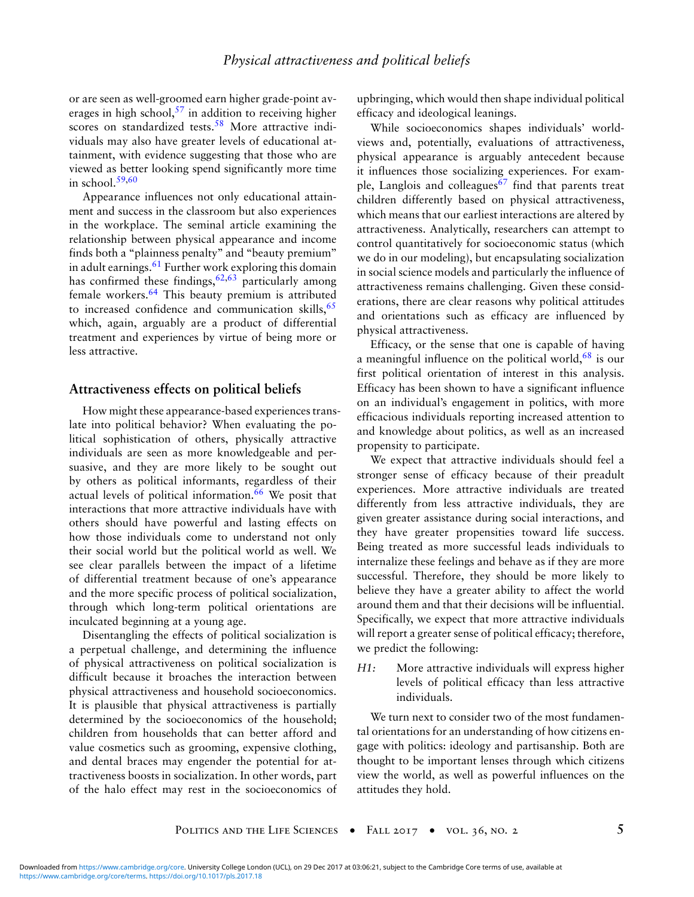or are seen as well-groomed earn higher grade-point averages in high school,  $57$  in addition to receiving higher scores on standardized tests.<sup>58</sup> More attractive individuals may also have greater levels of educational attainment, with evidence suggesting that those who are viewed as better looking spend significantly more time in school. $59,60$ 

Appearance influences not only educational attainment and success in the classroom but also experiences in the workplace. The seminal article examining the relationship between physical appearance and income finds both a ''plainness penalty'' and ''beauty premium'' in adult earnings. $61$  Further work exploring this domain has confirmed these findings,  $62,63$  particularly among female workers.<sup>64</sup> This beauty premium is attributed to increased confidence and communication skills,  $65$ which, again, arguably are a product of differential treatment and experiences by virtue of being more or less attractive.

### **Attractiveness effects on political beliefs**

How might these appearance-based experiences translate into political behavior? When evaluating the political sophistication of others, physically attractive individuals are seen as more knowledgeable and persuasive, and they are more likely to be sought out by others as political informants, regardless of their actual levels of political information.<sup>66</sup> We posit that interactions that more attractive individuals have with others should have powerful and lasting effects on how those individuals come to understand not only their social world but the political world as well. We see clear parallels between the impact of a lifetime of differential treatment because of one's appearance and the more specific process of political socialization, through which long-term political orientations are inculcated beginning at a young age.

Disentangling the effects of political socialization is a perpetual challenge, and determining the influence of physical attractiveness on political socialization is difficult because it broaches the interaction between physical attractiveness and household socioeconomics. It is plausible that physical attractiveness is partially determined by the socioeconomics of the household; children from households that can better afford and value cosmetics such as grooming, expensive clothing, and dental braces may engender the potential for attractiveness boosts in socialization. In other words, part of the halo effect may rest in the socioeconomics of upbringing, which would then shape individual political efficacy and ideological leanings.

While socioeconomics shapes individuals' worldviews and, potentially, evaluations of attractiveness, physical appearance is arguably antecedent because it influences those socializing experiences. For example, Langlois and colleagues $67$  find that parents treat children differently based on physical attractiveness, which means that our earliest interactions are altered by attractiveness. Analytically, researchers can attempt to control quantitatively for socioeconomic status (which we do in our modeling), but encapsulating socialization in social science models and particularly the influence of attractiveness remains challenging. Given these considerations, there are clear reasons why political attitudes and orientations such as efficacy are influenced by physical attractiveness.

Efficacy, or the sense that one is capable of having a meaningful influence on the political world, $68$  is our first political orientation of interest in this analysis. Efficacy has been shown to have a significant influence on an individual's engagement in politics, with more efficacious individuals reporting increased attention to and knowledge about politics, as well as an increased propensity to participate.

We expect that attractive individuals should feel a stronger sense of efficacy because of their preadult experiences. More attractive individuals are treated differently from less attractive individuals, they are given greater assistance during social interactions, and they have greater propensities toward life success. Being treated as more successful leads individuals to internalize these feelings and behave as if they are more successful. Therefore, they should be more likely to believe they have a greater ability to affect the world around them and that their decisions will be influential. Specifically, we expect that more attractive individuals will report a greater sense of political efficacy; therefore, we predict the following:

*H1:* More attractive individuals will express higher levels of political efficacy than less attractive individuals.

We turn next to consider two of the most fundamental orientations for an understanding of how citizens engage with politics: ideology and partisanship. Both are thought to be important lenses through which citizens view the world, as well as powerful influences on the attitudes they hold.

POLITICS AND THE LIFE SCIENCES • FALL 2017 • VOL. 36, NO. 2 5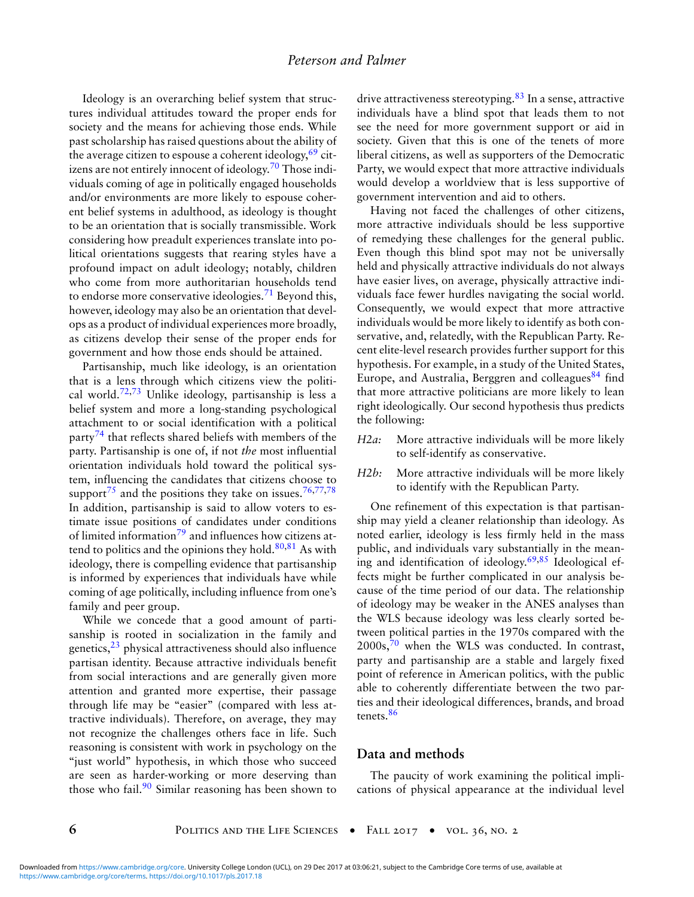Ideology is an overarching belief system that structures individual attitudes toward the proper ends for society and the means for achieving those ends. While past scholarship has raised questions about the ability of the average citizen to espouse a coherent ideology,  $69$  citizens are not entirely innocent of ideology.<sup>70</sup> Those individuals coming of age in politically engaged households and/or environments are more likely to espouse coherent belief systems in adulthood, as ideology is thought to be an orientation that is socially transmissible. Work considering how preadult experiences translate into political orientations suggests that rearing styles have a profound impact on adult ideology; notably, children who come from more authoritarian households tend to endorse more conservative ideologies.<sup>71</sup> Beyond this, however, ideology may also be an orientation that develops as a product of individual experiences more broadly, as citizens develop their sense of the proper ends for government and how those ends should be attained.

Partisanship, much like ideology, is an orientation that is a lens through which citizens view the political world.<sup>72,73</sup> Unlike ideology, partisanship is less a belief system and more a long-standing psychological attachment to or social identification with a political party<sup>74</sup> that reflects shared beliefs with members of the party. Partisanship is one of, if not *the* most influential orientation individuals hold toward the political system, influencing the candidates that citizens choose to support<sup>75</sup> and the positions they take on issues.<sup>76,77,78</sup> In addition, partisanship is said to allow voters to estimate issue positions of candidates under conditions of limited information<sup>79</sup> and influences how citizens attend to politics and the opinions they hold. $80,81$  As with ideology, there is compelling evidence that partisanship is informed by experiences that individuals have while coming of age politically, including influence from one's family and peer group.

While we concede that a good amount of partisanship is rooted in socialization in the family and genetics, $^{23}$  physical attractiveness should also influence partisan identity. Because attractive individuals benefit from social interactions and are generally given more attention and granted more expertise, their passage through life may be "easier" (compared with less attractive individuals). Therefore, on average, they may not recognize the challenges others face in life. Such reasoning is consistent with work in psychology on the "just world" hypothesis, in which those who succeed are seen as harder-working or more deserving than those who fail.<sup>90</sup> Similar reasoning has been shown to drive attractiveness stereotyping.<sup>83</sup> In a sense, attractive individuals have a blind spot that leads them to not see the need for more government support or aid in society. Given that this is one of the tenets of more liberal citizens, as well as supporters of the Democratic Party, we would expect that more attractive individuals would develop a worldview that is less supportive of government intervention and aid to others.

Having not faced the challenges of other citizens, more attractive individuals should be less supportive of remedying these challenges for the general public. Even though this blind spot may not be universally held and physically attractive individuals do not always have easier lives, on average, physically attractive individuals face fewer hurdles navigating the social world. Consequently, we would expect that more attractive individuals would be more likely to identify as both conservative, and, relatedly, with the Republican Party. Recent elite-level research provides further support for this hypothesis. For example, in a study of the United States, Europe, and Australia, Berggren and colleagues<sup>84</sup> find that more attractive politicians are more likely to lean right ideologically. Our second hypothesis thus predicts the following:

- *H2a:* More attractive individuals will be more likely to self-identify as conservative.
- *H2b:* More attractive individuals will be more likely to identify with the Republican Party.

One refinement of this expectation is that partisanship may yield a cleaner relationship than ideology. As noted earlier, ideology is less firmly held in the mass public, and individuals vary substantially in the meaning and identification of ideology.69,85 Ideological effects might be further complicated in our analysis because of the time period of our data. The relationship of ideology may be weaker in the ANES analyses than the WLS because ideology was less clearly sorted between political parties in the 1970s compared with the  $2000s$ ,<sup>70</sup> when the WLS was conducted. In contrast, party and partisanship are a stable and largely fixed point of reference in American politics, with the public able to coherently differentiate between the two parties and their ideological differences, brands, and broad tenets.<sup>86</sup>

### **Data and methods**

The paucity of work examining the political implications of physical appearance at the individual level

**6 b POLITICS AND THE LIFE SCIENCES** • FALL 2017 • VOL. 36, NO. 2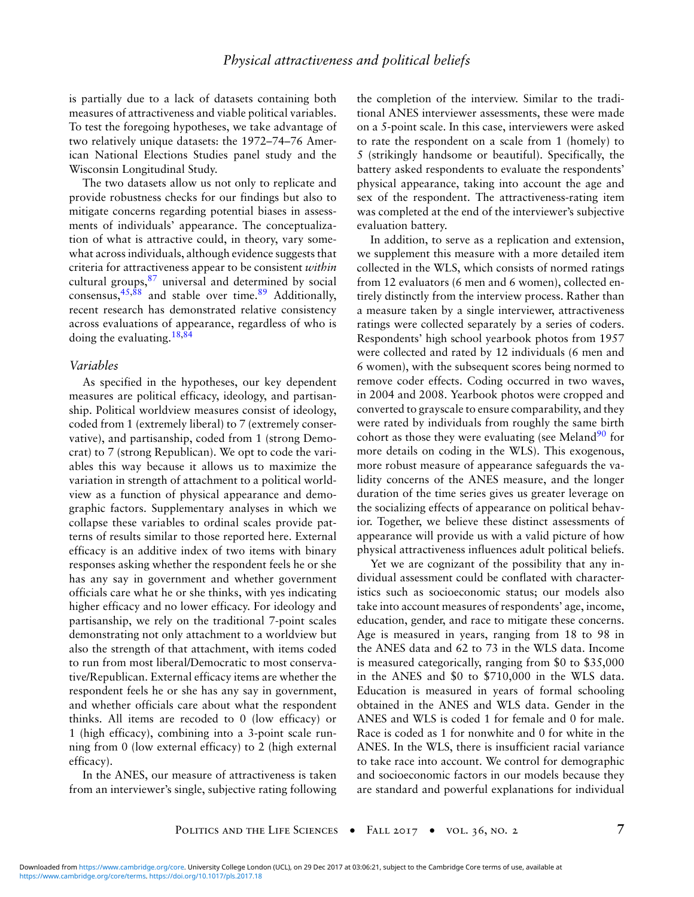is partially due to a lack of datasets containing both measures of attractiveness and viable political variables. To test the foregoing hypotheses, we take advantage of two relatively unique datasets: the 1972–74–76 American National Elections Studies panel study and the Wisconsin Longitudinal Study.

The two datasets allow us not only to replicate and provide robustness checks for our findings but also to mitigate concerns regarding potential biases in assessments of individuals' appearance. The conceptualization of what is attractive could, in theory, vary somewhat across individuals, although evidence suggests that criteria for attractiveness appear to be consistent *within* cultural groups,<sup>87</sup> universal and determined by social consensus,  $45,88$  and stable over time.  $89$  Additionally, recent research has demonstrated relative consistency across evaluations of appearance, regardless of who is doing the evaluating.18,84

#### *Variables*

As specified in the hypotheses, our key dependent measures are political efficacy, ideology, and partisanship. Political worldview measures consist of ideology, coded from 1 (extremely liberal) to 7 (extremely conservative), and partisanship, coded from 1 (strong Democrat) to 7 (strong Republican). We opt to code the variables this way because it allows us to maximize the variation in strength of attachment to a political worldview as a function of physical appearance and demographic factors. Supplementary analyses in which we collapse these variables to ordinal scales provide patterns of results similar to those reported here. External efficacy is an additive index of two items with binary responses asking whether the respondent feels he or she has any say in government and whether government officials care what he or she thinks, with yes indicating higher efficacy and no lower efficacy. For ideology and partisanship, we rely on the traditional 7-point scales demonstrating not only attachment to a worldview but also the strength of that attachment, with items coded to run from most liberal/Democratic to most conservative/Republican. External efficacy items are whether the respondent feels he or she has any say in government, and whether officials care about what the respondent thinks. All items are recoded to 0 (low efficacy) or 1 (high efficacy), combining into a 3-point scale running from 0 (low external efficacy) to 2 (high external efficacy).

In the ANES, our measure of attractiveness is taken from an interviewer's single, subjective rating following the completion of the interview. Similar to the traditional ANES interviewer assessments, these were made on a 5-point scale. In this case, interviewers were asked to rate the respondent on a scale from 1 (homely) to 5 (strikingly handsome or beautiful). Specifically, the battery asked respondents to evaluate the respondents' physical appearance, taking into account the age and sex of the respondent. The attractiveness-rating item was completed at the end of the interviewer's subjective evaluation battery.

In addition, to serve as a replication and extension, we supplement this measure with a more detailed item collected in the WLS, which consists of normed ratings from 12 evaluators (6 men and 6 women), collected entirely distinctly from the interview process. Rather than a measure taken by a single interviewer, attractiveness ratings were collected separately by a series of coders. Respondents' high school yearbook photos from 1957 were collected and rated by 12 individuals (6 men and 6 women), with the subsequent scores being normed to remove coder effects. Coding occurred in two waves, in 2004 and 2008. Yearbook photos were cropped and converted to grayscale to ensure comparability, and they were rated by individuals from roughly the same birth cohort as those they were evaluating (see Meland<sup>90</sup> for more details on coding in the WLS). This exogenous, more robust measure of appearance safeguards the validity concerns of the ANES measure, and the longer duration of the time series gives us greater leverage on the socializing effects of appearance on political behavior. Together, we believe these distinct assessments of appearance will provide us with a valid picture of how physical attractiveness influences adult political beliefs.

Yet we are cognizant of the possibility that any individual assessment could be conflated with characteristics such as socioeconomic status; our models also take into account measures of respondents' age, income, education, gender, and race to mitigate these concerns. Age is measured in years, ranging from 18 to 98 in the ANES data and 62 to 73 in the WLS data. Income is measured categorically, ranging from \$0 to \$35,000 in the ANES and \$0 to \$710,000 in the WLS data. Education is measured in years of formal schooling obtained in the ANES and WLS data. Gender in the ANES and WLS is coded 1 for female and 0 for male. Race is coded as 1 for nonwhite and 0 for white in the ANES. In the WLS, there is insufficient racial variance to take race into account. We control for demographic and socioeconomic factors in our models because they are standard and powerful explanations for individual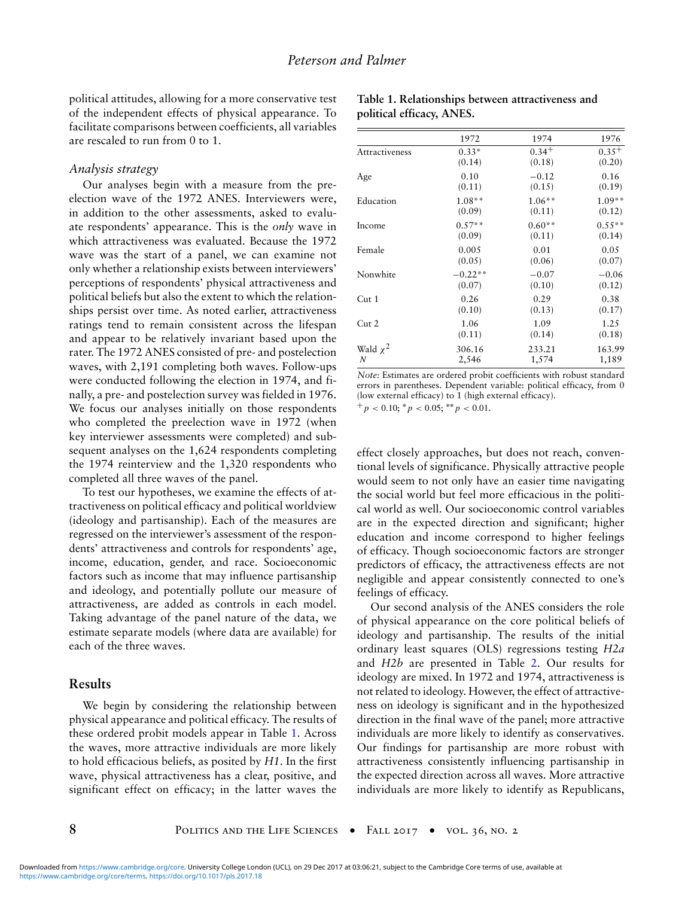political attitudes, allowing for a more conservative test of the independent effects of physical appearance. To facilitate comparisons between coefficients, all variables are rescaled to run from 0 to 1.

#### *Analysis strategy*

Our analyses begin with a measure from the preelection wave of the 1972 ANES. Interviewers were, in addition to the other assessments, asked to evaluate respondents' appearance. This is the *only* wave in which attractiveness was evaluated. Because the 1972 wave was the start of a panel, we can examine not only whether a relationship exists between interviewers' perceptions of respondents' physical attractiveness and political beliefs but also the extent to which the relationships persist over time. As noted earlier, attractiveness ratings tend to remain consistent across the lifespan and appear to be relatively invariant based upon the rater. The 1972 ANES consisted of pre- and postelection waves, with 2,191 completing both waves. Follow-ups were conducted following the election in 1974, and finally, a pre- and postelection survey was fielded in 1976. We focus our analyses initially on those respondents who completed the preelection wave in 1972 (when key interviewer assessments were completed) and subsequent analyses on the 1,624 respondents completing the 1974 reinterview and the 1,320 respondents who completed all three waves of the panel.

To test our hypotheses, we examine the effects of attractiveness on political efficacy and political worldview (ideology and partisanship). Each of the measures are regressed on the interviewer's assessment of the respondents' attractiveness and controls for respondents' age, income, education, gender, and race. Socioeconomic factors such as income that may influence partisanship and ideology, and potentially pollute our measure of attractiveness, are added as controls in each model. Taking advantage of the panel nature of the data, we estimate separate models (where data are available) for each of the three waves.

#### **Results**

We begin by considering the relationship between physical appearance and political efficacy. The results of these ordered probit models appear in Table 1. Across the waves, more attractive individuals are more likely to hold efficacious beliefs, as posited by *H1*. In the first wave, physical attractiveness has a clear, positive, and significant effect on efficacy; in the latter waves the

|                                    | 1972      | 1974           | 1976           |  |
|------------------------------------|-----------|----------------|----------------|--|
| Attractiveness                     | $0.33*$   | $0.34+$        | $0.35^{+}$     |  |
|                                    | (0.14)    | (0.18)         | (0.20)         |  |
| Age                                | 0.10      | $-0.12$        | 0.16           |  |
|                                    | (0.11)    | (0.15)         | (0.19)         |  |
| Education                          | $1.08**$  | $1.06***$      | $1.09**$       |  |
|                                    | (0.09)    | (0.11)         | (0.12)         |  |
| Income                             | $0.57**$  | $0.60**$       | $0.55**$       |  |
|                                    | (0.09)    | (0.11)         | (0.14)         |  |
| Female                             | 0.005     | 0.01           | 0.05           |  |
|                                    | (0.05)    | (0.06)         | (0.07)         |  |
| Nonwhite                           | $-0.22**$ | $-0.07$        | $-0.06$        |  |
|                                    | (0.07)    | (0.10)         | (0.12)         |  |
| Cut <sub>1</sub>                   | 0.26      | 0.29           | 0.38           |  |
|                                    | (0.10)    | (0.13)         | (0.17)         |  |
| Cut <sub>2</sub><br>1.06<br>(0.11) |           | 1.09<br>(0.14) | 1.25<br>(0.18) |  |
| Wald $\chi^2$                      | 306.16    | 233.21         | 163.99         |  |
| N                                  | 2,546     | 1,574          | 1,189          |  |

**Table 1. Relationships between attractiveness and political efficacy, ANES.**

*Note:* Estimates are ordered probit coefficients with robust standard errors in parentheses. Dependent variable: political efficacy, from 0 (low external efficacy) to 1 (high external efficacy).

 $^{+}p$  < 0.10;  $^{*}p$  < 0.05;  $^{**}p$  < 0.01.

effect closely approaches, but does not reach, conventional levels of significance. Physically attractive people would seem to not only have an easier time navigating the social world but feel more efficacious in the political world as well. Our socioeconomic control variables are in the expected direction and significant; higher education and income correspond to higher feelings of efficacy. Though socioeconomic factors are stronger predictors of efficacy, the attractiveness effects are not negligible and appear consistently connected to one's feelings of efficacy.

Our second analysis of the ANES considers the role of physical appearance on the core political beliefs of ideology and partisanship. The results of the initial ordinary least squares (OLS) regressions testing *H2a* and *H2b* are presented in Table 2. Our results for ideology are mixed. In 1972 and 1974, attractiveness is not related to ideology. However, the effect of attractiveness on ideology is significant and in the hypothesized direction in the final wave of the panel; more attractive individuals are more likely to identify as conservatives. Our findings for partisanship are more robust with attractiveness consistently influencing partisanship in the expected direction across all waves. More attractive individuals are more likely to identify as Republicans,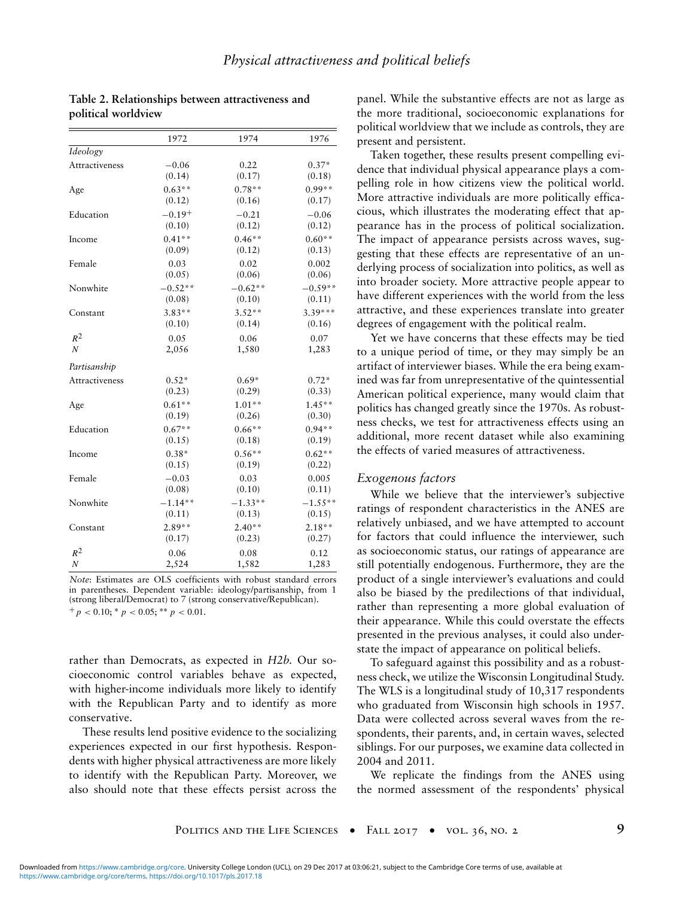|                       | 1972      | 1974      | 1976      |  |
|-----------------------|-----------|-----------|-----------|--|
| Ideology              |           |           |           |  |
| <b>Attractiveness</b> | $-0.06$   | 0.22      | $0.37*$   |  |
|                       | (0.14)    | (0.17)    | (0.18)    |  |
| Age                   | $0.63**$  | $0.78**$  | $0.99**$  |  |
|                       | (0.12)    | (0.16)    | (0.17)    |  |
| Education             | $-0.19+$  | $-0.21$   | $-0.06$   |  |
|                       | (0.10)    | (0.12)    | (0.12)    |  |
| Income                | $0.41**$  | $0.46**$  | $0.60**$  |  |
|                       | (0.09)    | (0.12)    | (0.13)    |  |
| Female                | 0.03      | 0.02      | 0.002     |  |
|                       | (0.05)    | (0.06)    | (0.06)    |  |
| Nonwhite              | $-0.52**$ | $-0.62**$ | $-0.59**$ |  |
|                       | (0.08)    | (0.10)    | (0.11)    |  |
| Constant              | $3.83**$  | $3.52**$  | 3.39***   |  |
|                       | (0.10)    | (0.14)    | (0.16)    |  |
| $R^2$                 | 0.05      | 0.06      | 0.07      |  |
| $\overline{N}$        | 2,056     | 1,580     | 1,283     |  |
| Partisanship          |           |           |           |  |
| <b>Attractiveness</b> | $0.52*$   | $0.69*$   | $0.72*$   |  |
|                       | (0.23)    | (0.29)    | (0.33)    |  |
| Age                   | $0.61**$  | $1.01**$  | $1.45**$  |  |
|                       | (0.19)    | (0.26)    | (0.30)    |  |
| Education             | $0.67**$  | $0.66**$  | $0.94**$  |  |
|                       | (0.15)    | (0.18)    | (0.19)    |  |
| Income                | $0.38*$   | $0.56**$  | $0.62**$  |  |
|                       | (0.15)    | (0.19)    | (0.22)    |  |
| Female                | $-0.03$   | 0.03      | 0.005     |  |
|                       | (0.08)    | (0.10)    | (0.11)    |  |
| Nonwhite              | $-1.14**$ | $-1.33**$ | $-1.55**$ |  |
|                       | (0.11)    | (0.13)    | (0.15)    |  |
| Constant              | $2.89**$  | $2.40**$  | $2.18**$  |  |
|                       | (0.17)    | (0.23)    | (0.27)    |  |
| $R^2$                 | 0.06      | 0.08      | 0.12      |  |
| $\cal N$              | 2,524     | 1,582     | 1,283     |  |

**Table 2. Relationships between attractiveness and political worldview**

*Note*: Estimates are OLS coefficients with robust standard errors in parentheses. Dependent variable: ideology/partisanship, from 1 (strong liberal/Democrat) to 7 (strong conservative/Republican).  $^{+}p$  < 0.10; \* *p* < 0.05; \*\* *p* < 0.01.

rather than Democrats, as expected in *H2b.* Our socioeconomic control variables behave as expected, with higher-income individuals more likely to identify with the Republican Party and to identify as more conservative.

These results lend positive evidence to the socializing experiences expected in our first hypothesis. Respondents with higher physical attractiveness are more likely to identify with the Republican Party. Moreover, we also should note that these effects persist across the panel. While the substantive effects are not as large as the more traditional, socioeconomic explanations for political worldview that we include as controls, they are present and persistent.

Taken together, these results present compelling evidence that individual physical appearance plays a compelling role in how citizens view the political world. More attractive individuals are more politically efficacious, which illustrates the moderating effect that appearance has in the process of political socialization. The impact of appearance persists across waves, suggesting that these effects are representative of an underlying process of socialization into politics, as well as into broader society. More attractive people appear to have different experiences with the world from the less attractive, and these experiences translate into greater degrees of engagement with the political realm.

Yet we have concerns that these effects may be tied to a unique period of time, or they may simply be an artifact of interviewer biases. While the era being examined was far from unrepresentative of the quintessential American political experience, many would claim that politics has changed greatly since the 1970s. As robustness checks, we test for attractiveness effects using an additional, more recent dataset while also examining the effects of varied measures of attractiveness.

#### *Exogenous factors*

While we believe that the interviewer's subjective ratings of respondent characteristics in the ANES are relatively unbiased, and we have attempted to account for factors that could influence the interviewer, such as socioeconomic status, our ratings of appearance are still potentially endogenous. Furthermore, they are the product of a single interviewer's evaluations and could also be biased by the predilections of that individual, rather than representing a more global evaluation of their appearance. While this could overstate the effects presented in the previous analyses, it could also understate the impact of appearance on political beliefs.

To safeguard against this possibility and as a robustness check, we utilize the Wisconsin Longitudinal Study. The WLS is a longitudinal study of 10,317 respondents who graduated from Wisconsin high schools in 1957. Data were collected across several waves from the respondents, their parents, and, in certain waves, selected siblings. For our purposes, we examine data collected in 2004 and 2011.

We replicate the findings from the ANES using the normed assessment of the respondents' physical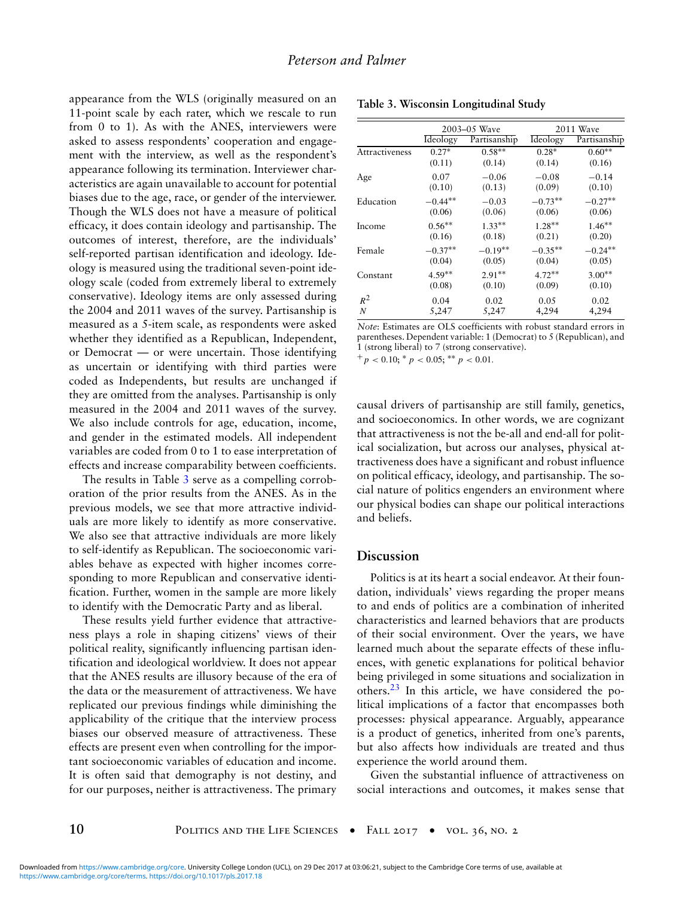appearance from the WLS (originally measured on an 11-point scale by each rater, which we rescale to run from 0 to 1). As with the ANES, interviewers were asked to assess respondents' cooperation and engagement with the interview, as well as the respondent's appearance following its termination. Interviewer characteristics are again unavailable to account for potential biases due to the age, race, or gender of the interviewer. Though the WLS does not have a measure of political efficacy, it does contain ideology and partisanship. The outcomes of interest, therefore, are the individuals' self-reported partisan identification and ideology. Ideology is measured using the traditional seven-point ideology scale (coded from extremely liberal to extremely conservative). Ideology items are only assessed during the 2004 and 2011 waves of the survey. Partisanship is measured as a 5-item scale, as respondents were asked whether they identified as a Republican, Independent, or Democrat — or were uncertain. Those identifying as uncertain or identifying with third parties were coded as Independents, but results are unchanged if they are omitted from the analyses. Partisanship is only measured in the 2004 and 2011 waves of the survey. We also include controls for age, education, income, and gender in the estimated models. All independent variables are coded from 0 to 1 to ease interpretation of effects and increase comparability between coefficients.

The results in Table 3 serve as a compelling corroboration of the prior results from the ANES. As in the previous models, we see that more attractive individuals are more likely to identify as more conservative. We also see that attractive individuals are more likely to self-identify as Republican. The socioeconomic variables behave as expected with higher incomes corresponding to more Republican and conservative identification. Further, women in the sample are more likely to identify with the Democratic Party and as liberal.

These results yield further evidence that attractiveness plays a role in shaping citizens' views of their political reality, significantly influencing partisan identification and ideological worldview. It does not appear that the ANES results are illusory because of the era of the data or the measurement of attractiveness. We have replicated our previous findings while diminishing the applicability of the critique that the interview process biases our observed measure of attractiveness. These effects are present even when controlling for the important socioeconomic variables of education and income. It is often said that demography is not destiny, and for our purposes, neither is attractiveness. The primary

|                | 2003–05 Wave    |              | 2011 Wave |              |
|----------------|-----------------|--------------|-----------|--------------|
|                | <b>Ideology</b> | Partisanship | Ideology  | Partisanship |
| Attractiveness | $0.27*$         | $0.58**$     | $0.28*$   | $0.60**$     |
|                | (0.11)          | (0.14)       | (0.14)    | (0.16)       |
| Age            | 0.07            | $-0.06$      | $-0.08$   | $-0.14$      |
|                | (0.10)          | (0.13)       | (0.09)    | (0.10)       |
| Education      | $-0.44**$       | $-0.03$      | $-0.73**$ | $-0.27**$    |
|                | (0.06)          | (0.06)       | (0.06)    | (0.06)       |
| Income         | $0.56**$        | $1.33**$     | $1.28**$  | $1.46**$     |
|                | (0.16)          | (0.18)       | (0.21)    | (0.20)       |
| Female         | $-0.37**$       | $-0.19**$    | $-0.35**$ | $-0.24**$    |
|                | (0.04)          | (0.05)       | (0.04)    | (0.05)       |
| Constant       | $4.59**$        | $2.91**$     | $4.72**$  | $3.00**$     |
|                | (0.08)          | (0.10)       | (0.09)    | (0.10)       |
| $R^2$          | 0.04            | 0.02         | 0.05      | 0.02         |
| N              | 5,247           | 5,247        | 4,294     | 4,294        |

**Table 3. Wisconsin Longitudinal Study**

*Note*: Estimates are OLS coefficients with robust standard errors in parentheses. Dependent variable: 1 (Democrat) to 5 (Republican), and 1 (strong liberal) to 7 (strong conservative).

 $+p < 0.10$ ;  $\binom{p}{p} < 0.05$ ;  $\binom{p}{p} < 0.01$ .

causal drivers of partisanship are still family, genetics, and socioeconomics. In other words, we are cognizant that attractiveness is not the be-all and end-all for political socialization, but across our analyses, physical attractiveness does have a significant and robust influence on political efficacy, ideology, and partisanship. The social nature of politics engenders an environment where our physical bodies can shape our political interactions and beliefs.

#### **Discussion**

Politics is at its heart a social endeavor. At their foundation, individuals' views regarding the proper means to and ends of politics are a combination of inherited characteristics and learned behaviors that are products of their social environment. Over the years, we have learned much about the separate effects of these influences, with genetic explanations for political behavior being privileged in some situations and socialization in others.<sup>23</sup> In this article, we have considered the political implications of a factor that encompasses both processes: physical appearance. Arguably, appearance is a product of genetics, inherited from one's parents, but also affects how individuals are treated and thus experience the world around them.

Given the substantial influence of attractiveness on social interactions and outcomes, it makes sense that

**10 b** POLITICS AND THE LIFE SCIENCES • FALL 2017 • VOL. 36, NO. 2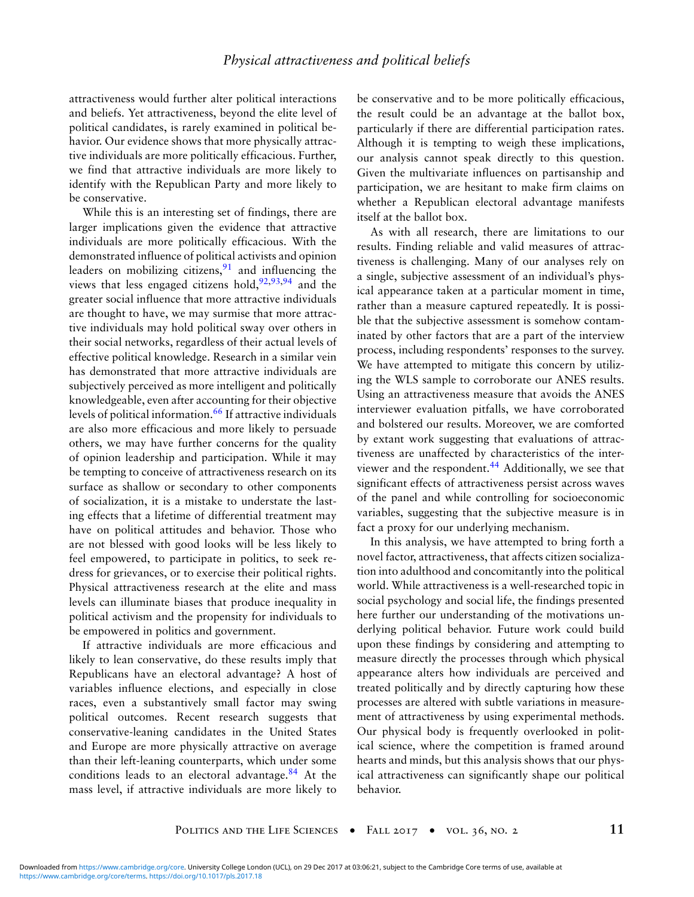attractiveness would further alter political interactions and beliefs. Yet attractiveness, beyond the elite level of political candidates, is rarely examined in political behavior. Our evidence shows that more physically attractive individuals are more politically efficacious. Further, we find that attractive individuals are more likely to identify with the Republican Party and more likely to be conservative.

While this is an interesting set of findings, there are larger implications given the evidence that attractive individuals are more politically efficacious. With the demonstrated influence of political activists and opinion leaders on mobilizing citizens,  $91$  and influencing the views that less engaged citizens hold,  $92,93,94$  and the greater social influence that more attractive individuals are thought to have, we may surmise that more attractive individuals may hold political sway over others in their social networks, regardless of their actual levels of effective political knowledge. Research in a similar vein has demonstrated that more attractive individuals are subjectively perceived as more intelligent and politically knowledgeable, even after accounting for their objective levels of political information.<sup>66</sup> If attractive individuals are also more efficacious and more likely to persuade others, we may have further concerns for the quality of opinion leadership and participation. While it may be tempting to conceive of attractiveness research on its surface as shallow or secondary to other components of socialization, it is a mistake to understate the lasting effects that a lifetime of differential treatment may have on political attitudes and behavior. Those who are not blessed with good looks will be less likely to feel empowered, to participate in politics, to seek redress for grievances, or to exercise their political rights. Physical attractiveness research at the elite and mass levels can illuminate biases that produce inequality in political activism and the propensity for individuals to be empowered in politics and government.

If attractive individuals are more efficacious and likely to lean conservative, do these results imply that Republicans have an electoral advantage? A host of variables influence elections, and especially in close races, even a substantively small factor may swing political outcomes. Recent research suggests that conservative-leaning candidates in the United States and Europe are more physically attractive on average than their left-leaning counterparts, which under some conditions leads to an electoral advantage. $84$  At the mass level, if attractive individuals are more likely to be conservative and to be more politically efficacious, the result could be an advantage at the ballot box, particularly if there are differential participation rates. Although it is tempting to weigh these implications, our analysis cannot speak directly to this question. Given the multivariate influences on partisanship and participation, we are hesitant to make firm claims on whether a Republican electoral advantage manifests itself at the ballot box.

As with all research, there are limitations to our results. Finding reliable and valid measures of attractiveness is challenging. Many of our analyses rely on a single, subjective assessment of an individual's physical appearance taken at a particular moment in time, rather than a measure captured repeatedly. It is possible that the subjective assessment is somehow contaminated by other factors that are a part of the interview process, including respondents' responses to the survey. We have attempted to mitigate this concern by utilizing the WLS sample to corroborate our ANES results. Using an attractiveness measure that avoids the ANES interviewer evaluation pitfalls, we have corroborated and bolstered our results. Moreover, we are comforted by extant work suggesting that evaluations of attractiveness are unaffected by characteristics of the interviewer and the respondent.<sup>44</sup> Additionally, we see that significant effects of attractiveness persist across waves of the panel and while controlling for socioeconomic variables, suggesting that the subjective measure is in fact a proxy for our underlying mechanism.

In this analysis, we have attempted to bring forth a novel factor, attractiveness, that affects citizen socialization into adulthood and concomitantly into the political world. While attractiveness is a well-researched topic in social psychology and social life, the findings presented here further our understanding of the motivations underlying political behavior. Future work could build upon these findings by considering and attempting to measure directly the processes through which physical appearance alters how individuals are perceived and treated politically and by directly capturing how these processes are altered with subtle variations in measurement of attractiveness by using experimental methods. Our physical body is frequently overlooked in political science, where the competition is framed around hearts and minds, but this analysis shows that our physical attractiveness can significantly shape our political behavior.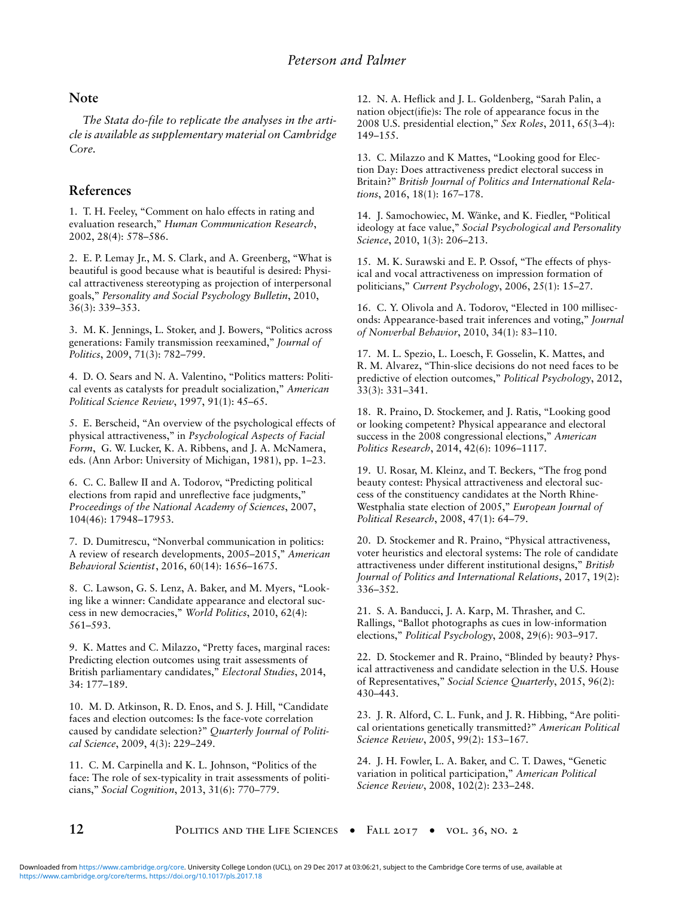### **Note**

*The Stata do-file to replicate the analyses in the article is available as supplementary material on Cambridge Core.*

# **References**

1. T. H. Feeley, "Comment on halo effects in rating and evaluation research,'' *Human Communication Research*, 2002, 28(4): 578–586.

2. E. P. Lemay Jr., M. S. Clark, and A. Greenberg, ''What is beautiful is good because what is beautiful is desired: Physical attractiveness stereotyping as projection of interpersonal goals,'' *Personality and Social Psychology Bulletin*, 2010, 36(3): 339–353.

3. M. K. Jennings, L. Stoker, and J. Bowers, ''Politics across generations: Family transmission reexamined,'' *Journal of Politics*, 2009, 71(3): 782–799.

4. D. O. Sears and N. A. Valentino, "Politics matters: Political events as catalysts for preadult socialization,'' *American Political Science Review*, 1997, 91(1): 45–65.

5. E. Berscheid, ''An overview of the psychological effects of physical attractiveness,'' in *Psychological Aspects of Facial Form*, G. W. Lucker, K. A. Ribbens, and J. A. McNamera, eds. (Ann Arbor: University of Michigan, 1981), pp. 1–23.

6. C. C. Ballew II and A. Todorov, ''Predicting political elections from rapid and unreflective face judgments,'' *Proceedings of the National Academy of Sciences*, 2007, 104(46): 17948–17953.

7. D. Dumitrescu, ''Nonverbal communication in politics: A review of research developments, 2005–2015,'' *American Behavioral Scientist*, 2016, 60(14): 1656–1675.

8. C. Lawson, G. S. Lenz, A. Baker, and M. Myers, ''Looking like a winner: Candidate appearance and electoral success in new democracies,'' *World Politics*, 2010, 62(4): 561–593.

9. K. Mattes and C. Milazzo, "Pretty faces, marginal races: Predicting election outcomes using trait assessments of British parliamentary candidates,'' *Electoral Studies*, 2014, 34: 177–189.

10. M. D. Atkinson, R. D. Enos, and S. J. Hill, ''Candidate faces and election outcomes: Is the face-vote correlation caused by candidate selection?'' *Quarterly Journal of Political Science*, 2009, 4(3): 229–249.

11. C. M. Carpinella and K. L. Johnson, ''Politics of the face: The role of sex-typicality in trait assessments of politicians,'' *Social Cognition*, 2013, 31(6): 770–779.

12. N. A. Heflick and J. L. Goldenberg, ''Sarah Palin, a nation object(ifie)s: The role of appearance focus in the 2008 U.S. presidential election,'' *Sex Roles*, 2011, 65(3–4): 149–155.

13. C. Milazzo and K Mattes, "Looking good for Election Day: Does attractiveness predict electoral success in Britain?'' *British Journal of Politics and International Relations*, 2016, 18(1): 167–178.

14. J. Samochowiec, M. Wänke, and K. Fiedler, "Political ideology at face value,'' *Social Psychological and Personality Science*, 2010, 1(3): 206–213.

15. M. K. Surawski and E. P. Ossof, ''The effects of physical and vocal attractiveness on impression formation of politicians,'' *Current Psychology*, 2006, 25(1): 15–27.

16. C. Y. Olivola and A. Todorov, "Elected in 100 milliseconds: Appearance-based trait inferences and voting,'' *Journal of Nonverbal Behavior*, 2010, 34(1): 83–110.

17. M. L. Spezio, L. Loesch, F. Gosselin, K. Mattes, and R. M. Alvarez, ''Thin-slice decisions do not need faces to be predictive of election outcomes,'' *Political Psychology*, 2012, 33(3): 331–341.

18. R. Praino, D. Stockemer, and J. Ratis, ''Looking good or looking competent? Physical appearance and electoral success in the 2008 congressional elections,'' *American Politics Research*, 2014, 42(6): 1096–1117.

19. U. Rosar, M. Kleinz, and T. Beckers, ''The frog pond beauty contest: Physical attractiveness and electoral success of the constituency candidates at the North Rhine-Westphalia state election of 2005,'' *European Journal of Political Research*, 2008, 47(1): 64–79.

20. D. Stockemer and R. Praino, ''Physical attractiveness, voter heuristics and electoral systems: The role of candidate attractiveness under different institutional designs,'' *British Journal of Politics and International Relations*, 2017, 19(2): 336–352.

21. S. A. Banducci, J. A. Karp, M. Thrasher, and C. Rallings, ''Ballot photographs as cues in low-information elections,'' *Political Psychology*, 2008, 29(6): 903–917.

22. D. Stockemer and R. Praino, "Blinded by beauty? Physical attractiveness and candidate selection in the U.S. House of Representatives,'' *Social Science Quarterly*, 2015, 96(2): 430–443.

23. J. R. Alford, C. L. Funk, and J. R. Hibbing, "Are political orientations genetically transmitted?'' *American Political Science Review*, 2005, 99(2): 153–167.

24. J. H. Fowler, L. A. Baker, and C. T. Dawes, ''Genetic variation in political participation,'' *American Political Science Review*, 2008, 102(2): 233–248.

**12 POLITICS AND THE LIFE SCIENCES** • FALL 2017 • VOL. 36, NO. 2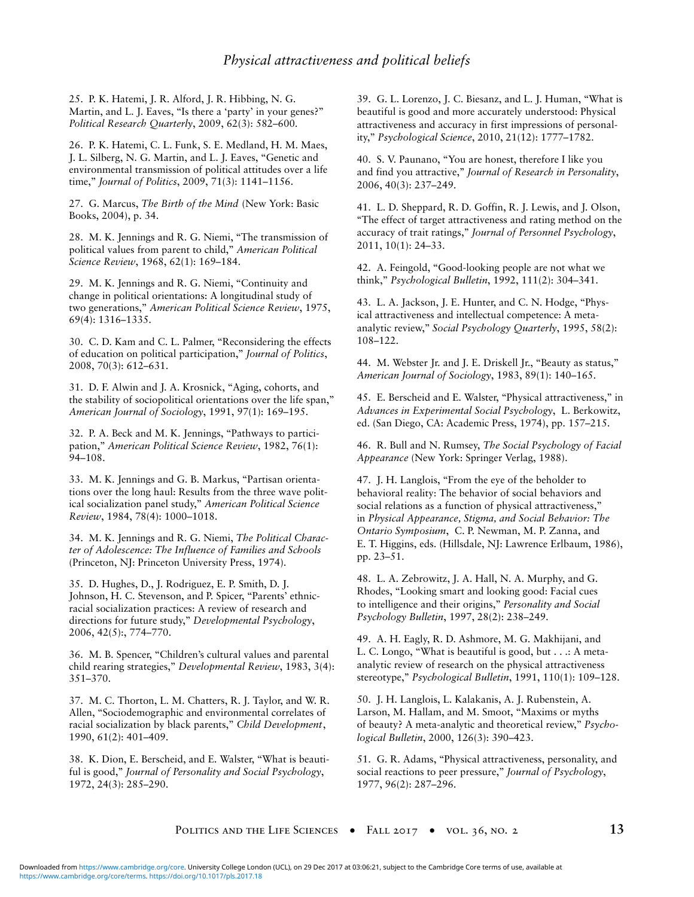25. P. K. Hatemi, J. R. Alford, J. R. Hibbing, N. G. Martin, and L. J. Eaves, "Is there a 'party' in your genes?" *Political Research Quarterly*, 2009, 62(3): 582–600.

26. P. K. Hatemi, C. L. Funk, S. E. Medland, H. M. Maes, J. L. Silberg, N. G. Martin, and L. J. Eaves, ''Genetic and environmental transmission of political attitudes over a life time,'' *Journal of Politics*, 2009, 71(3): 1141–1156.

27. G. Marcus, *The Birth of the Mind* (New York: Basic Books, 2004), p. 34.

28. M. K. Jennings and R. G. Niemi, ''The transmission of political values from parent to child,'' *American Political Science Review*, 1968, 62(1): 169–184.

29. M. K. Jennings and R. G. Niemi, ''Continuity and change in political orientations: A longitudinal study of two generations,'' *American Political Science Review*, 1975, 69(4): 1316–1335.

30. C. D. Kam and C. L. Palmer, ''Reconsidering the effects of education on political participation,'' *Journal of Politics*, 2008, 70(3): 612–631.

31. D. F. Alwin and J. A. Krosnick, ''Aging, cohorts, and the stability of sociopolitical orientations over the life span,'' *American Journal of Sociology*, 1991, 97(1): 169–195.

32. P. A. Beck and M. K. Jennings, "Pathways to participation,'' *American Political Science Review*, 1982, 76(1): 94–108.

33. M. K. Jennings and G. B. Markus, "Partisan orientations over the long haul: Results from the three wave political socialization panel study,'' *American Political Science Review*, 1984, 78(4): 1000–1018.

34. M. K. Jennings and R. G. Niemi, *The Political Character of Adolescence: The Influence of Families and Schools* (Princeton, NJ: Princeton University Press, 1974).

35. D. Hughes, D., J. Rodriguez, E. P. Smith, D. J. Johnson, H. C. Stevenson, and P. Spicer, "Parents' ethnicracial socialization practices: A review of research and directions for future study,'' *Developmental Psychology*, 2006, 42(5):, 774–770.

36. M. B. Spencer, ''Children's cultural values and parental child rearing strategies,'' *Developmental Review*, 1983, 3(4): 351–370.

37. M. C. Thorton, L. M. Chatters, R. J. Taylor, and W. R. Allen, "Sociodemographic and environmental correlates of racial socialization by black parents,'' *Child Development*, 1990, 61(2): 401–409.

38. K. Dion, E. Berscheid, and E. Walster, ''What is beautiful is good,'' *Journal of Personality and Social Psychology*, 1972, 24(3): 285–290.

39. G. L. Lorenzo, J. C. Biesanz, and L. J. Human, ''What is beautiful is good and more accurately understood: Physical attractiveness and accuracy in first impressions of personality,'' *Psychological Science*, 2010, 21(12): 1777–1782.

40. S. V. Paunano, ''You are honest, therefore I like you and find you attractive,'' *Journal of Research in Personality*, 2006, 40(3): 237–249.

41. L. D. Sheppard, R. D. Goffin, R. J. Lewis, and J. Olson, ''The effect of target attractiveness and rating method on the accuracy of trait ratings,'' *Journal of Personnel Psychology*, 2011, 10(1): 24–33.

42. A. Feingold, "Good-looking people are not what we think,'' *Psychological Bulletin*, 1992, 111(2): 304–341.

43. L. A. Jackson, J. E. Hunter, and C. N. Hodge, ''Physical attractiveness and intellectual competence: A metaanalytic review,'' *Social Psychology Quarterly*, 1995, 58(2): 108–122.

44. M. Webster Jr. and J. E. Driskell Jr., ''Beauty as status,'' *American Journal of Sociology*, 1983, 89(1): 140–165.

45. E. Berscheid and E. Walster, "Physical attractiveness," in *Advances in Experimental Social Psychology*, L. Berkowitz, ed. (San Diego, CA: Academic Press, 1974), pp. 157–215.

46. R. Bull and N. Rumsey, *The Social Psychology of Facial Appearance* (New York: Springer Verlag, 1988).

47. J. H. Langlois, "From the eye of the beholder to behavioral reality: The behavior of social behaviors and social relations as a function of physical attractiveness,'' in *Physical Appearance, Stigma, and Social Behavior: The Ontario Symposium*, C. P. Newman, M. P. Zanna, and E. T. Higgins, eds. (Hillsdale, NJ: Lawrence Erlbaum, 1986), pp. 23–51.

48. L. A. Zebrowitz, J. A. Hall, N. A. Murphy, and G. Rhodes, ''Looking smart and looking good: Facial cues to intelligence and their origins,'' *Personality and Social Psychology Bulletin*, 1997, 28(2): 238–249.

49. A. H. Eagly, R. D. Ashmore, M. G. Makhijani, and L. C. Longo, ''What is beautiful is good, but . . .: A metaanalytic review of research on the physical attractiveness stereotype,'' *Psychological Bulletin*, 1991, 110(1): 109–128.

50. J. H. Langlois, L. Kalakanis, A. J. Rubenstein, A. Larson, M. Hallam, and M. Smoot, ''Maxims or myths of beauty? A meta-analytic and theoretical review,'' *Psychological Bulletin*, 2000, 126(3): 390–423.

51. G. R. Adams, ''Physical attractiveness, personality, and social reactions to peer pressure,'' *Journal of Psychology*, 1977, 96(2): 287–296.

POLITICS AND THE LIFE SCIENCES • FALL 2017 • VOL. 36, NO. 2 13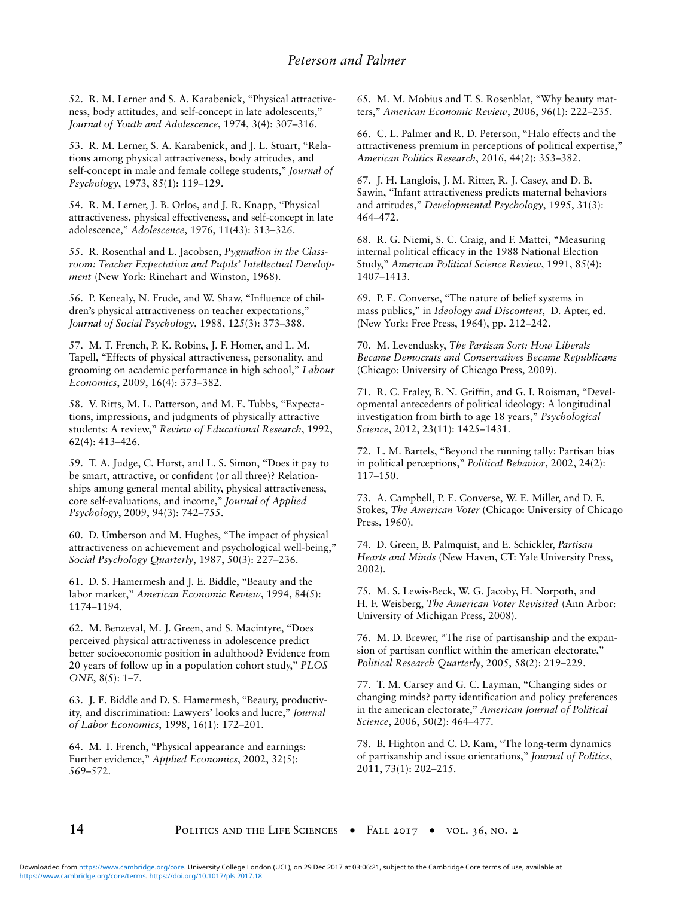52. R. M. Lerner and S. A. Karabenick, ''Physical attractiveness, body attitudes, and self-concept in late adolescents,'' *Journal of Youth and Adolescence*, 1974, 3(4): 307–316.

53. R. M. Lerner, S. A. Karabenick, and J. L. Stuart, ''Relations among physical attractiveness, body attitudes, and self-concept in male and female college students,'' *Journal of Psychology*, 1973, 85(1): 119–129.

54. R. M. Lerner, J. B. Orlos, and J. R. Knapp, ''Physical attractiveness, physical effectiveness, and self-concept in late adolescence,'' *Adolescence*, 1976, 11(43): 313–326.

55. R. Rosenthal and L. Jacobsen, *Pygmalion in the Classroom: Teacher Expectation and Pupils' Intellectual Development* (New York: Rinehart and Winston, 1968).

56. P. Kenealy, N. Frude, and W. Shaw, ''Influence of children's physical attractiveness on teacher expectations,'' *Journal of Social Psychology*, 1988, 125(3): 373–388.

57. M. T. French, P. K. Robins, J. F. Homer, and L. M. Tapell, "Effects of physical attractiveness, personality, and grooming on academic performance in high school,'' *Labour Economics*, 2009, 16(4): 373–382.

58. V. Ritts, M. L. Patterson, and M. E. Tubbs, "Expectations, impressions, and judgments of physically attractive students: A review,'' *Review of Educational Research*, 1992, 62(4): 413–426.

59. T. A. Judge, C. Hurst, and L. S. Simon, ''Does it pay to be smart, attractive, or confident (or all three)? Relationships among general mental ability, physical attractiveness, core self-evaluations, and income,'' *Journal of Applied Psychology*, 2009, 94(3): 742–755.

60. D. Umberson and M. Hughes, ''The impact of physical attractiveness on achievement and psychological well-being,'' *Social Psychology Quarterly*, 1987, 50(3): 227–236.

61. D. S. Hamermesh and J. E. Biddle, ''Beauty and the labor market,'' *American Economic Review*, 1994, 84(5): 1174–1194.

62. M. Benzeval, M. J. Green, and S. Macintyre, ''Does perceived physical attractiveness in adolescence predict better socioeconomic position in adulthood? Evidence from 20 years of follow up in a population cohort study,'' *PLOS ONE*, 8(5): 1–7.

63. J. E. Biddle and D. S. Hamermesh, ''Beauty, productivity, and discrimination: Lawyers' looks and lucre,'' *Journal of Labor Economics*, 1998, 16(1): 172–201.

64. M. T. French, ''Physical appearance and earnings: Further evidence,'' *Applied Economics*, 2002, 32(5): 569–572.

65. M. M. Mobius and T. S. Rosenblat, ''Why beauty matters,'' *American Economic Review*, 2006, 96(1): 222–235.

66. C. L. Palmer and R. D. Peterson, ''Halo effects and the attractiveness premium in perceptions of political expertise,'' *American Politics Research*, 2016, 44(2): 353–382.

67. J. H. Langlois, J. M. Ritter, R. J. Casey, and D. B. Sawin, ''Infant attractiveness predicts maternal behaviors and attitudes,'' *Developmental Psychology*, 1995, 31(3): 464–472.

68. R. G. Niemi, S. C. Craig, and F. Mattei, ''Measuring internal political efficacy in the 1988 National Election Study,'' *American Political Science Review*, 1991, 85(4): 1407–1413.

69. P. E. Converse, ''The nature of belief systems in mass publics,'' in *Ideology and Discontent*, D. Apter, ed. (New York: Free Press, 1964), pp. 212–242.

70. M. Levendusky, *The Partisan Sort: How Liberals Became Democrats and Conservatives Became Republicans* (Chicago: University of Chicago Press, 2009).

71. R. C. Fraley, B. N. Griffin, and G. I. Roisman, ''Developmental antecedents of political ideology: A longitudinal investigation from birth to age 18 years,'' *Psychological Science*, 2012, 23(11): 1425–1431.

72. L. M. Bartels, ''Beyond the running tally: Partisan bias in political perceptions,'' *Political Behavior*, 2002, 24(2): 117–150.

73. A. Campbell, P. E. Converse, W. E. Miller, and D. E. Stokes, *The American Voter* (Chicago: University of Chicago Press, 1960).

74. D. Green, B. Palmquist, and E. Schickler, *Partisan Hearts and Minds* (New Haven, CT: Yale University Press, 2002).

75. M. S. Lewis-Beck, W. G. Jacoby, H. Norpoth, and H. F. Weisberg, *The American Voter Revisited* (Ann Arbor: University of Michigan Press, 2008).

76. M. D. Brewer, ''The rise of partisanship and the expansion of partisan conflict within the american electorate,'' *Political Research Quarterly*, 2005, 58(2): 219–229.

77. T. M. Carsey and G. C. Layman, ''Changing sides or changing minds? party identification and policy preferences in the american electorate,'' *American Journal of Political Science*, 2006, 50(2): 464–477.

78. B. Highton and C. D. Kam, ''The long-term dynamics of partisanship and issue orientations,'' *Journal of Politics*, 2011, 73(1): 202–215.

**14 14 POLITICS AND THE LIFE SCIENCES** • FALL 2017 • VOL. 36, NO. 2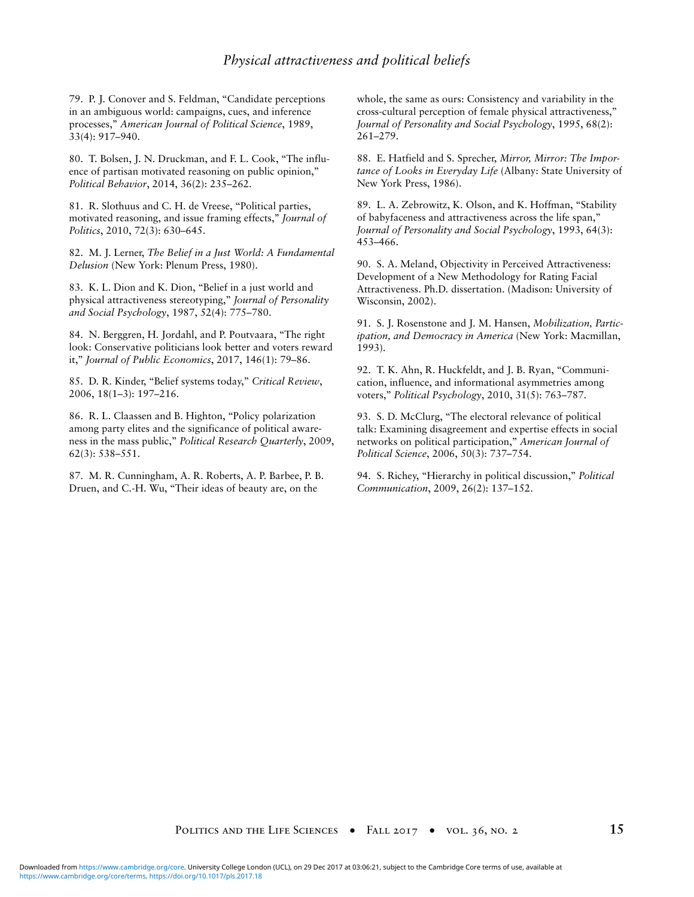## *Physical attractiveness and political beliefs*

79. P. J. Conover and S. Feldman, ''Candidate perceptions in an ambiguous world: campaigns, cues, and inference processes,'' *American Journal of Political Science*, 1989, 33(4): 917–940.

80. T. Bolsen, J. N. Druckman, and F. L. Cook, "The influence of partisan motivated reasoning on public opinion,'' *Political Behavior*, 2014, 36(2): 235–262.

81. R. Slothuus and C. H. de Vreese, "Political parties, motivated reasoning, and issue framing effects,'' *Journal of Politics*, 2010, 72(3): 630–645.

82. M. J. Lerner, *The Belief in a Just World: A Fundamental Delusion* (New York: Plenum Press, 1980).

83. K. L. Dion and K. Dion, ''Belief in a just world and physical attractiveness stereotyping,'' *Journal of Personality and Social Psychology*, 1987, 52(4): 775–780.

84. N. Berggren, H. Jordahl, and P. Poutvaara, "The right look: Conservative politicians look better and voters reward it,'' *Journal of Public Economics*, 2017, 146(1): 79–86.

85. D. R. Kinder, ''Belief systems today,'' *Critical Review*, 2006, 18(1–3): 197–216.

86. R. L. Claassen and B. Highton, ''Policy polarization among party elites and the significance of political awareness in the mass public,'' *Political Research Quarterly*, 2009, 62(3): 538–551.

87. M. R. Cunningham, A. R. Roberts, A. P. Barbee, P. B. Druen, and C.-H. Wu, "Their ideas of beauty are, on the

whole, the same as ours: Consistency and variability in the cross-cultural perception of female physical attractiveness,'' *Journal of Personality and Social Psychology*, 1995, 68(2): 261–279.

88. E. Hatfield and S. Sprecher, *Mirror, Mirror: The Importance of Looks in Everyday Life* (Albany: State University of New York Press, 1986).

89. L. A. Zebrowitz, K. Olson, and K. Hoffman, ''Stability of babyfaceness and attractiveness across the life span,'' *Journal of Personality and Social Psychology*, 1993, 64(3): 453–466.

90. S. A. Meland, Objectivity in Perceived Attractiveness: Development of a New Methodology for Rating Facial Attractiveness. Ph.D. dissertation. (Madison: University of Wisconsin, 2002).

91. S. J. Rosenstone and J. M. Hansen, *Mobilization, Participation, and Democracy in America* (New York: Macmillan, 1993).

92. T. K. Ahn, R. Huckfeldt, and J. B. Ryan, ''Communication, influence, and informational asymmetries among voters,'' *Political Psychology*, 2010, 31(5): 763–787.

93. S. D. McClurg, ''The electoral relevance of political talk: Examining disagreement and expertise effects in social networks on political participation,'' *American Journal of Political Science*, 2006, 50(3): 737–754.

94. S. Richey, ''Hierarchy in political discussion,'' *Political Communication*, 2009, 26(2): 137–152.